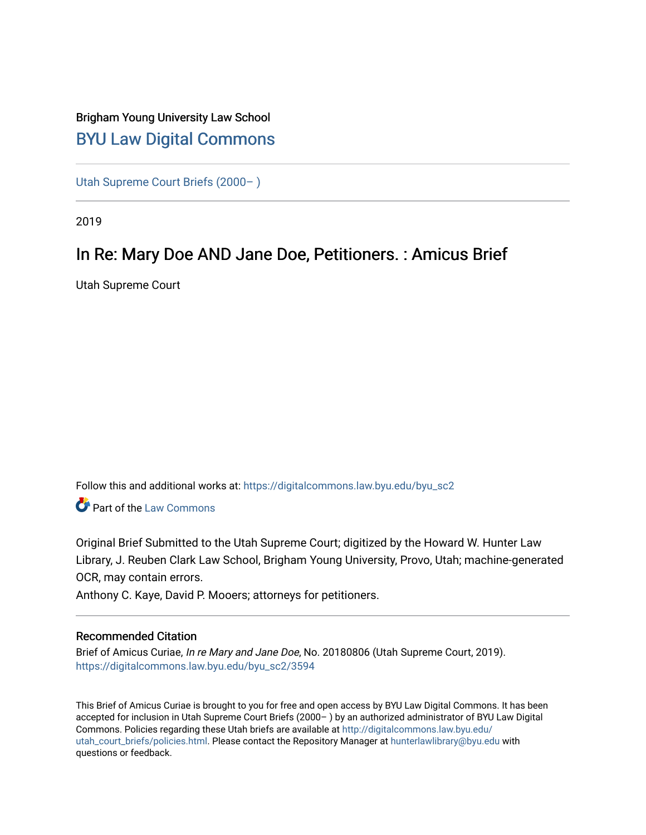# Brigham Young University Law School [BYU Law Digital Commons](https://digitalcommons.law.byu.edu/)

[Utah Supreme Court Briefs \(2000– \)](https://digitalcommons.law.byu.edu/byu_sc2)

2019

# In Re: Mary Doe AND Jane Doe, Petitioners. : Amicus Brief

Utah Supreme Court

Follow this and additional works at: [https://digitalcommons.law.byu.edu/byu\\_sc2](https://digitalcommons.law.byu.edu/byu_sc2?utm_source=digitalcommons.law.byu.edu%2Fbyu_sc2%2F3594&utm_medium=PDF&utm_campaign=PDFCoverPages) 

Part of the [Law Commons](https://network.bepress.com/hgg/discipline/578?utm_source=digitalcommons.law.byu.edu%2Fbyu_sc2%2F3594&utm_medium=PDF&utm_campaign=PDFCoverPages)

Original Brief Submitted to the Utah Supreme Court; digitized by the Howard W. Hunter Law Library, J. Reuben Clark Law School, Brigham Young University, Provo, Utah; machine-generated OCR, may contain errors.

Anthony C. Kaye, David P. Mooers; attorneys for petitioners.

#### Recommended Citation

Brief of Amicus Curiae, In re Mary and Jane Doe, No. 20180806 (Utah Supreme Court, 2019). [https://digitalcommons.law.byu.edu/byu\\_sc2/3594](https://digitalcommons.law.byu.edu/byu_sc2/3594?utm_source=digitalcommons.law.byu.edu%2Fbyu_sc2%2F3594&utm_medium=PDF&utm_campaign=PDFCoverPages)

This Brief of Amicus Curiae is brought to you for free and open access by BYU Law Digital Commons. It has been accepted for inclusion in Utah Supreme Court Briefs (2000– ) by an authorized administrator of BYU Law Digital Commons. Policies regarding these Utah briefs are available at [http://digitalcommons.law.byu.edu/](http://digitalcommons.law.byu.edu/utah_court_briefs/policies.html) [utah\\_court\\_briefs/policies.html.](http://digitalcommons.law.byu.edu/utah_court_briefs/policies.html) Please contact the Repository Manager at hunterlawlibrary@byu.edu with questions or feedback.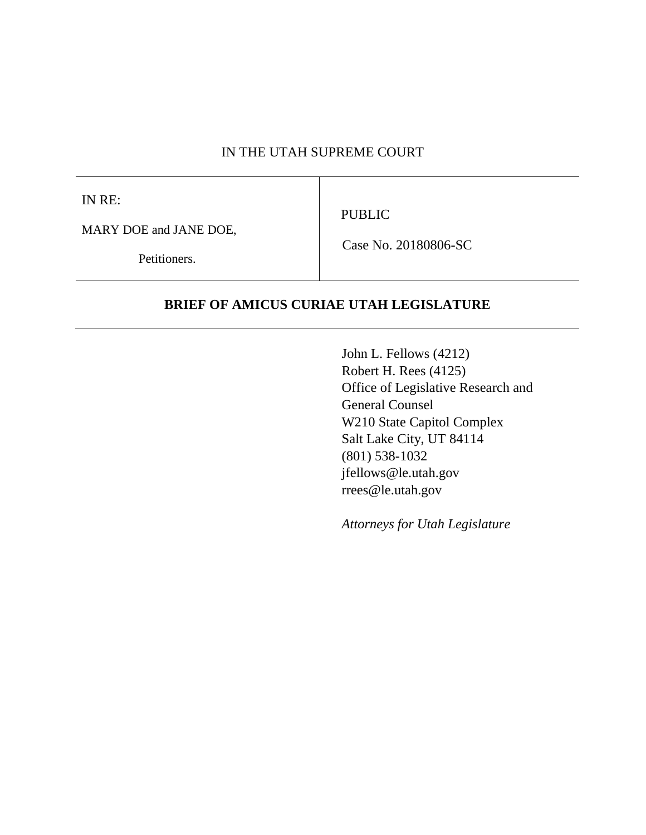### IN THE UTAH SUPREME COURT

IN RE:

PUBLIC

MARY DOE and JANE DOE,

Petitioners.

Case No. 20180806-SC

### **BRIEF OF AMICUS CURIAE UTAH LEGISLATURE**

John L. Fellows (4212) Robert H. Rees (4125) Office of Legislative Research and General Counsel W210 State Capitol Complex Salt Lake City, UT 84114 (801) 538-1032 jfellows@le.utah.gov rrees@le.utah.gov

*Attorneys for Utah Legislature*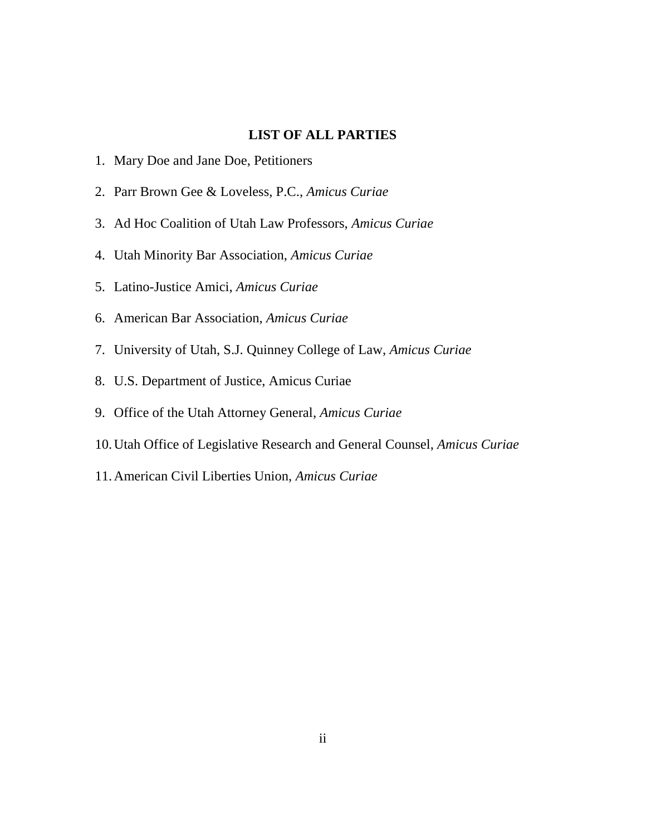### **LIST OF ALL PARTIES**

- 1. Mary Doe and Jane Doe, Petitioners
- 2. Parr Brown Gee & Loveless, P.C., *Amicus Curiae*
- 3. Ad Hoc Coalition of Utah Law Professors, *Amicus Curiae*
- 4. Utah Minority Bar Association, *Amicus Curiae*
- 5. Latino-Justice Amici, *Amicus Curiae*
- 6. American Bar Association, *Amicus Curiae*
- 7. University of Utah, S.J. Quinney College of Law, *Amicus Curiae*
- 8. U.S. Department of Justice, Amicus Curiae
- 9. Office of the Utah Attorney General, *Amicus Curiae*
- 10.Utah Office of Legislative Research and General Counsel, *Amicus Curiae*
- 11.American Civil Liberties Union, *Amicus Curiae*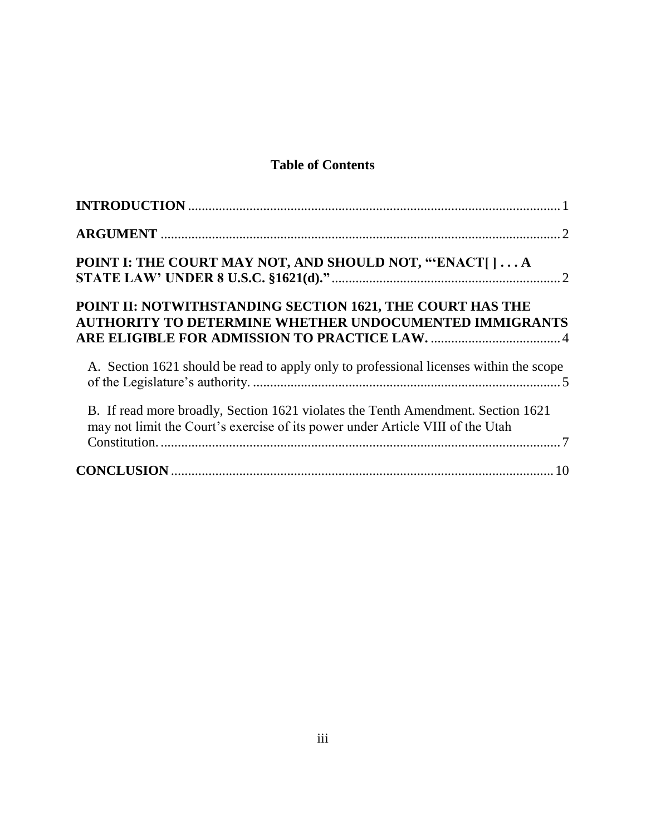# **Table of Contents**

| POINT I: THE COURT MAY NOT, AND SHOULD NOT, "ENACT[]A                                                                                                              |
|--------------------------------------------------------------------------------------------------------------------------------------------------------------------|
| POINT II: NOTWITHSTANDING SECTION 1621, THE COURT HAS THE<br>AUTHORITY TO DETERMINE WHETHER UNDOCUMENTED IMMIGRANTS                                                |
| A. Section 1621 should be read to apply only to professional licenses within the scope                                                                             |
| B. If read more broadly, Section 1621 violates the Tenth Amendment. Section 1621<br>may not limit the Court's exercise of its power under Article VIII of the Utah |
|                                                                                                                                                                    |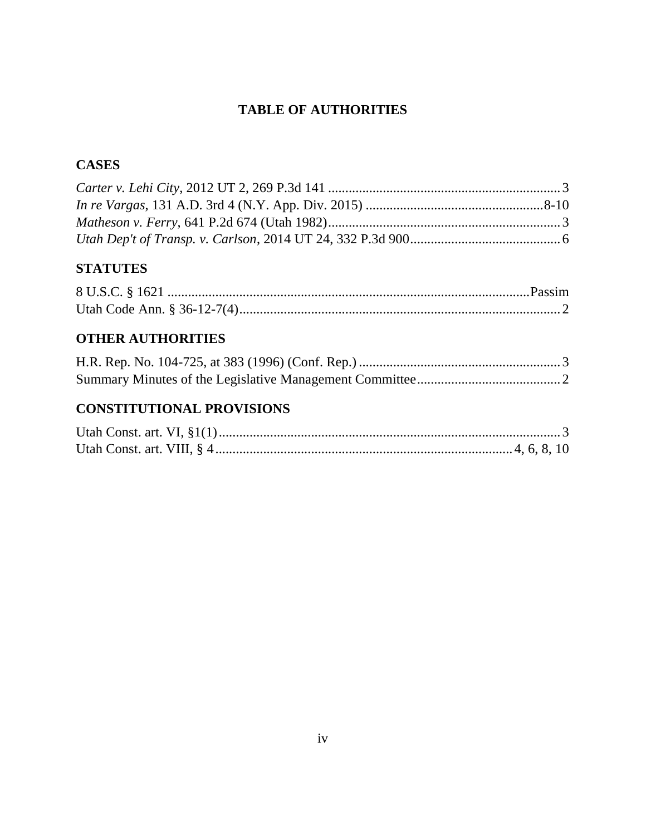# **TABLE OF AUTHORITIES**

# **CASES**

# **STATUTES**

# **OTHER AUTHORITIES**

# **CONSTITUTIONAL PROVISIONS**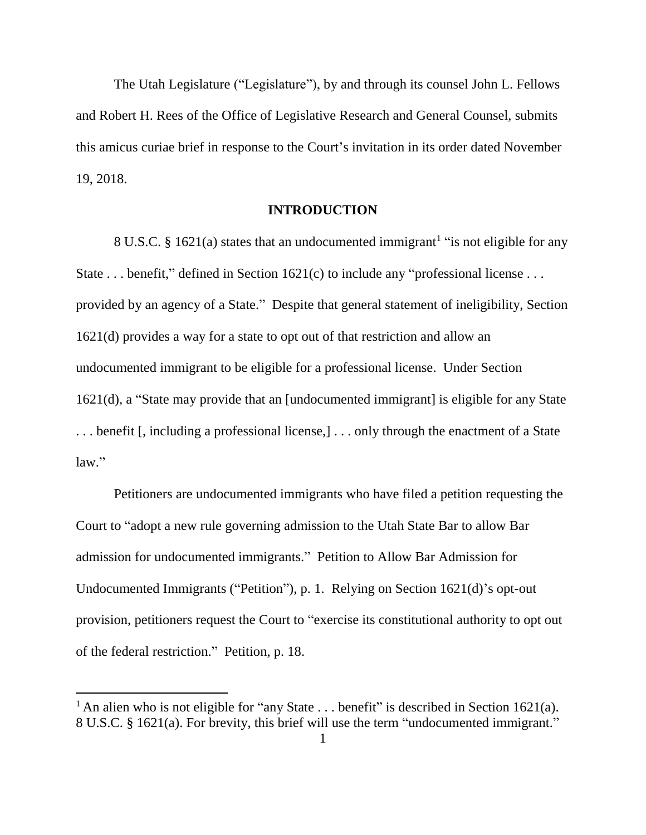The Utah Legislature ("Legislature"), by and through its counsel John L. Fellows and Robert H. Rees of the Office of Legislative Research and General Counsel, submits this amicus curiae brief in response to the Court's invitation in its order dated November 19, 2018.

#### **INTRODUCTION**

<span id="page-5-0"></span>8 U.S.C. § 1621(a) states that an undocumented immigrant<sup>1</sup> "is not eligible for any State  $\dots$  benefit," defined in Section 1621(c) to include any "professional license  $\dots$ provided by an agency of a State." Despite that general statement of ineligibility, Section 1621(d) provides a way for a state to opt out of that restriction and allow an undocumented immigrant to be eligible for a professional license. Under Section 1621(d), a "State may provide that an [undocumented immigrant] is eligible for any State . . . benefit [, including a professional license,] . . . only through the enactment of a State law."

Petitioners are undocumented immigrants who have filed a petition requesting the Court to "adopt a new rule governing admission to the Utah State Bar to allow Bar admission for undocumented immigrants." Petition to Allow Bar Admission for Undocumented Immigrants ("Petition"), p. 1. Relying on Section 1621(d)'s opt-out provision, petitioners request the Court to "exercise its constitutional authority to opt out of the federal restriction." Petition, p. 18.

<sup>&</sup>lt;sup>1</sup> An alien who is not eligible for "any State  $\dots$  benefit" is described in Section 1621(a). 8 U.S.C. § 1621(a). For brevity, this brief will use the term "undocumented immigrant."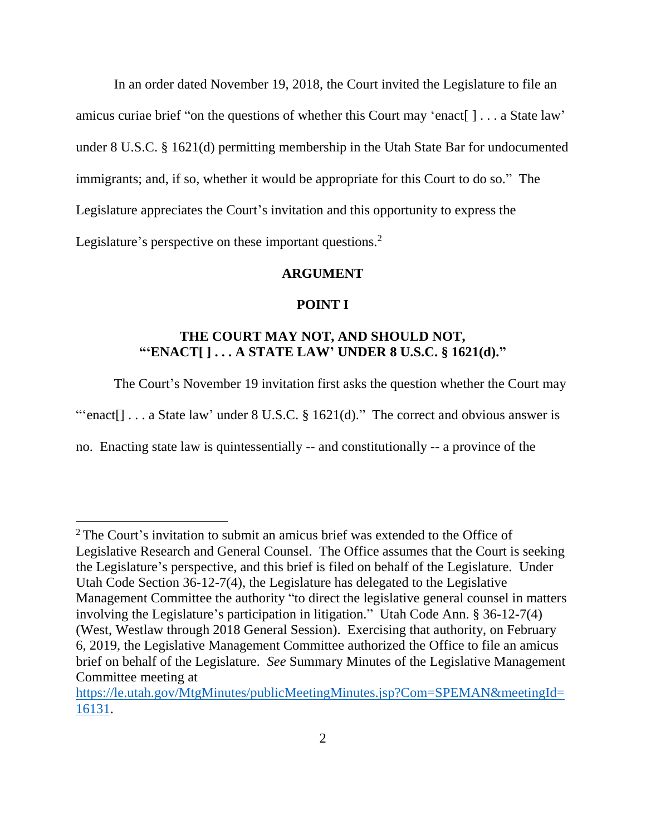In an order dated November 19, 2018, the Court invited the Legislature to file an amicus curiae brief "on the questions of whether this Court may 'enact[ ] . . . a State law' under 8 U.S.C. § 1621(d) permitting membership in the Utah State Bar for undocumented immigrants; and, if so, whether it would be appropriate for this Court to do so." The Legislature appreciates the Court's invitation and this opportunity to express the Legislature's perspective on these important questions.<sup>2</sup>

#### **ARGUMENT**

#### **POINT I**

## <span id="page-6-1"></span><span id="page-6-0"></span>**THE COURT MAY NOT, AND SHOULD NOT, "'ENACT[ ] . . . A STATE LAW' UNDER 8 U.S.C. § 1621(d)."**

The Court's November 19 invitation first asks the question whether the Court may

"'enact $[] \dots$  a State law' under 8 U.S.C. § 1621(d)." The correct and obvious answer is

no. Enacting state law is quintessentially -- and constitutionally -- a province of the

l

<sup>&</sup>lt;sup>2</sup> The Court's invitation to submit an amicus brief was extended to the Office of Legislative Research and General Counsel. The Office assumes that the Court is seeking the Legislature's perspective, and this brief is filed on behalf of the Legislature. Under Utah Code Section 36-12-7(4), the Legislature has delegated to the Legislative Management Committee the authority "to direct the legislative general counsel in matters involving the Legislature's participation in litigation." Utah Code Ann. § 36-12-7(4) (West, Westlaw through 2018 General Session). Exercising that authority, on February 6, 2019, the Legislative Management Committee authorized the Office to file an amicus brief on behalf of the Legislature. *See* Summary Minutes of the Legislative Management Committee meeting at

[https://le.utah.gov/MtgMinutes/publicMeetingMinutes.jsp?Com=SPEMAN&meetingId=](https://le.utah.gov/MtgMinutes/publicMeetingMinutes.jsp?Com=SPEMAN&meetingId=16131) [16131.](https://le.utah.gov/MtgMinutes/publicMeetingMinutes.jsp?Com=SPEMAN&meetingId=16131)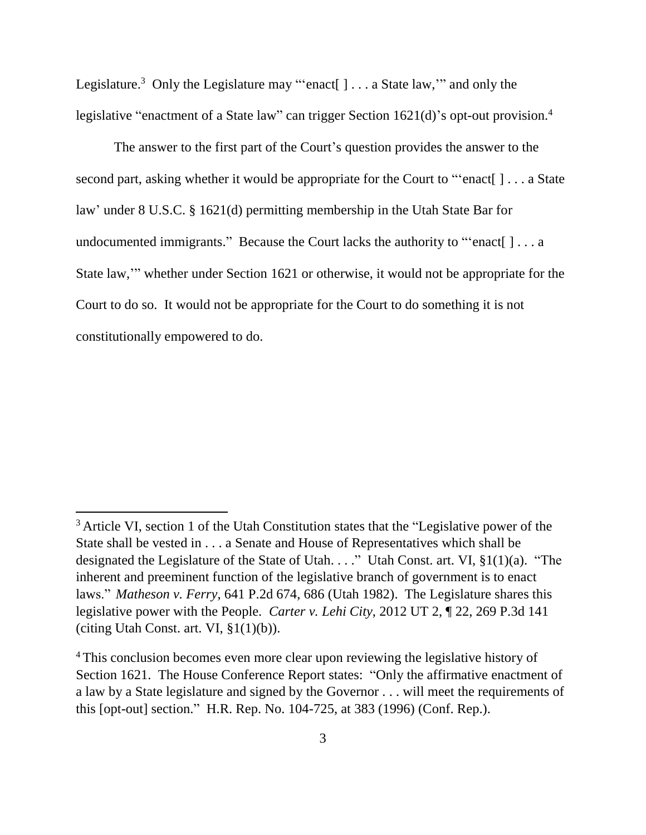Legislature.<sup>3</sup> Only the Legislature may "'enact[  $] \ldots$  a State law," and only the legislative "enactment of a State law" can trigger Section 1621(d)'s opt-out provision.<sup>4</sup>

The answer to the first part of the Court's question provides the answer to the second part, asking whether it would be appropriate for the Court to "'enact[ ] . . . a State law' under 8 U.S.C. § 1621(d) permitting membership in the Utah State Bar for undocumented immigrants." Because the Court lacks the authority to "'enact[ ] . . . a State law,'" whether under Section 1621 or otherwise, it would not be appropriate for the Court to do so. It would not be appropriate for the Court to do something it is not constitutionally empowered to do.

<sup>&</sup>lt;sup>3</sup> Article VI, section 1 of the Utah Constitution states that the "Legislative power of the State shall be vested in . . . a Senate and House of Representatives which shall be designated the Legislature of the State of Utah. . . ." Utah Const. art. VI, §1(1)(a). "The inherent and preeminent function of the legislative branch of government is to enact laws." *Matheson v. Ferry*, 641 P.2d 674, 686 (Utah 1982). The Legislature shares this legislative power with the People. *Carter v. Lehi City*, 2012 UT 2, ¶ 22, 269 P.3d 141 (citing Utah Const. art. VI,  $\S1(1)(b)$ ).

<sup>&</sup>lt;sup>4</sup> This conclusion becomes even more clear upon reviewing the legislative history of Section 1621. The House Conference Report states: "Only the affirmative enactment of a law by a State legislature and signed by the Governor . . . will meet the requirements of this [opt-out] section." H.R. Rep. No. 104-725, at 383 (1996) (Conf. Rep.).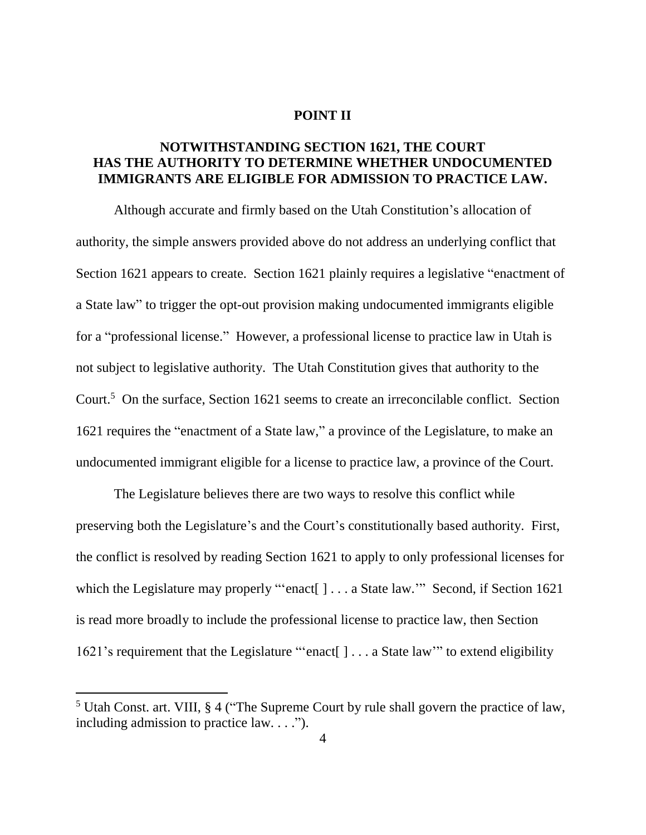#### **POINT II**

# <span id="page-8-0"></span>**NOTWITHSTANDING SECTION 1621, THE COURT HAS THE AUTHORITY TO DETERMINE WHETHER UNDOCUMENTED IMMIGRANTS ARE ELIGIBLE FOR ADMISSION TO PRACTICE LAW.**

Although accurate and firmly based on the Utah Constitution's allocation of authority, the simple answers provided above do not address an underlying conflict that Section 1621 appears to create. Section 1621 plainly requires a legislative "enactment of a State law" to trigger the opt-out provision making undocumented immigrants eligible for a "professional license." However, a professional license to practice law in Utah is not subject to legislative authority. The Utah Constitution gives that authority to the Court. <sup>5</sup> On the surface, Section 1621 seems to create an irreconcilable conflict. Section 1621 requires the "enactment of a State law," a province of the Legislature, to make an undocumented immigrant eligible for a license to practice law, a province of the Court.

The Legislature believes there are two ways to resolve this conflict while preserving both the Legislature's and the Court's constitutionally based authority. First, the conflict is resolved by reading Section 1621 to apply to only professional licenses for which the Legislature may properly "'enact[ ] . . . a State law." Second, if Section 1621 is read more broadly to include the professional license to practice law, then Section 1621's requirement that the Legislature "'enact[ ] . . . a State law'" to extend eligibility

<sup>5</sup> Utah Const. art. VIII, § 4 ("The Supreme Court by rule shall govern the practice of law, including admission to practice law. . . .").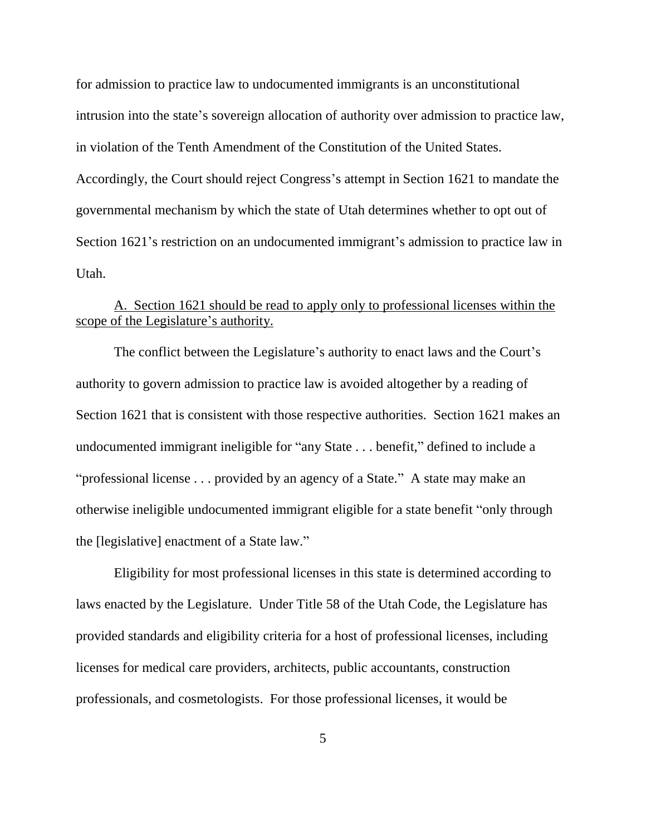for admission to practice law to undocumented immigrants is an unconstitutional intrusion into the state's sovereign allocation of authority over admission to practice law, in violation of the Tenth Amendment of the Constitution of the United States. Accordingly, the Court should reject Congress's attempt in Section 1621 to mandate the governmental mechanism by which the state of Utah determines whether to opt out of Section 1621's restriction on an undocumented immigrant's admission to practice law in Utah.

### <span id="page-9-0"></span>A. Section 1621 should be read to apply only to professional licenses within the scope of the Legislature's authority.

The conflict between the Legislature's authority to enact laws and the Court's authority to govern admission to practice law is avoided altogether by a reading of Section 1621 that is consistent with those respective authorities. Section 1621 makes an undocumented immigrant ineligible for "any State . . . benefit," defined to include a "professional license . . . provided by an agency of a State." A state may make an otherwise ineligible undocumented immigrant eligible for a state benefit "only through the [legislative] enactment of a State law."

Eligibility for most professional licenses in this state is determined according to laws enacted by the Legislature. Under Title 58 of the Utah Code, the Legislature has provided standards and eligibility criteria for a host of professional licenses, including licenses for medical care providers, architects, public accountants, construction professionals, and cosmetologists. For those professional licenses, it would be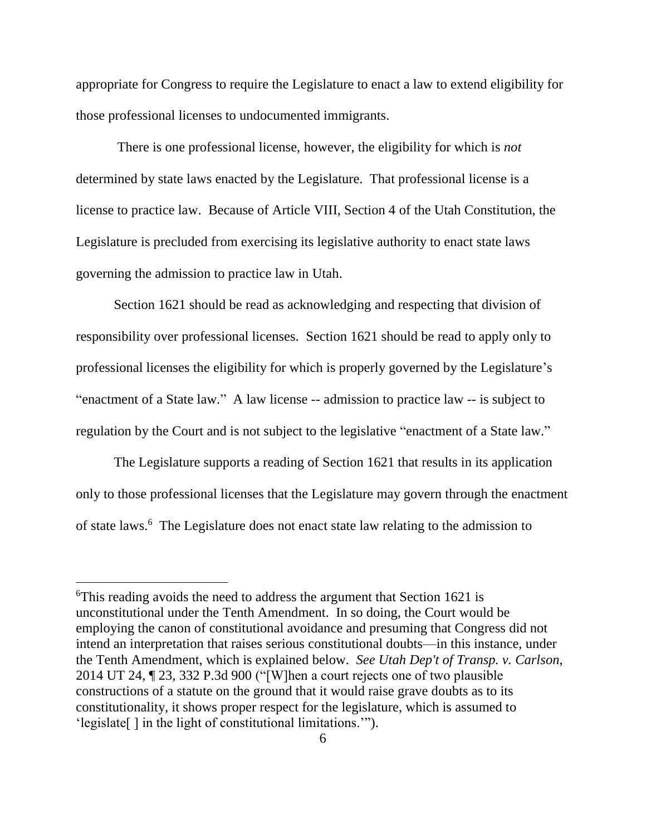appropriate for Congress to require the Legislature to enact a law to extend eligibility for those professional licenses to undocumented immigrants.

There is one professional license, however, the eligibility for which is *not* determined by state laws enacted by the Legislature. That professional license is a license to practice law. Because of Article VIII, Section 4 of the Utah Constitution, the Legislature is precluded from exercising its legislative authority to enact state laws governing the admission to practice law in Utah.

Section 1621 should be read as acknowledging and respecting that division of responsibility over professional licenses. Section 1621 should be read to apply only to professional licenses the eligibility for which is properly governed by the Legislature's "enactment of a State law." A law license -- admission to practice law -- is subject to regulation by the Court and is not subject to the legislative "enactment of a State law."

The Legislature supports a reading of Section 1621 that results in its application only to those professional licenses that the Legislature may govern through the enactment of state laws.<sup>6</sup> The Legislature does not enact state law relating to the admission to

<sup>6</sup>This reading avoids the need to address the argument that Section 1621 is unconstitutional under the Tenth Amendment. In so doing, the Court would be employing the canon of constitutional avoidance and presuming that Congress did not intend an interpretation that raises serious constitutional doubts—in this instance, under the Tenth Amendment, which is explained below. *See Utah Dep't of Transp. v. Carlson*, 2014 UT 24, ¶ 23, 332 P.3d 900 ("[W]hen a court rejects one of two plausible constructions of a statute on the ground that it would raise grave doubts as to its constitutionality, it shows proper respect for the legislature, which is assumed to 'legislate[ ] in the light of constitutional limitations.'").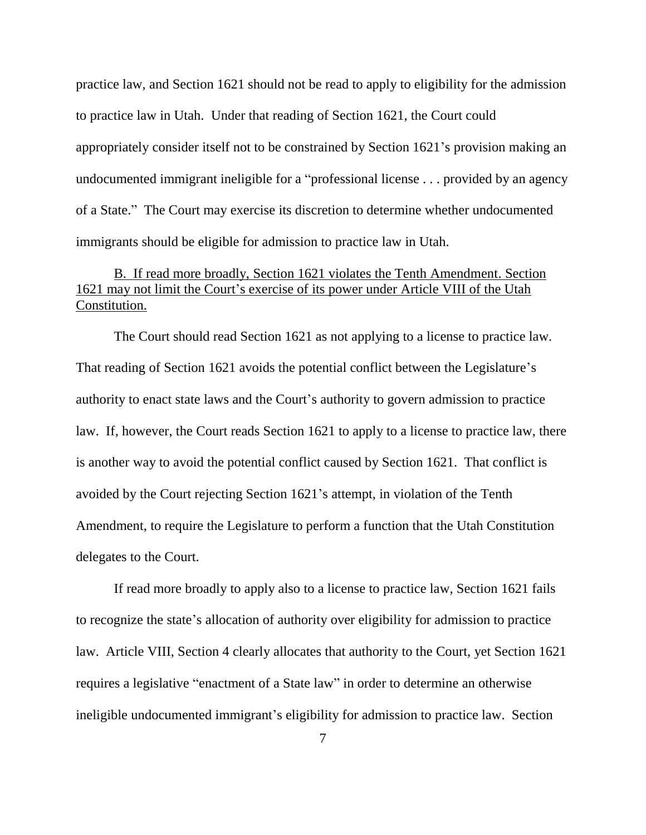practice law, and Section 1621 should not be read to apply to eligibility for the admission to practice law in Utah. Under that reading of Section 1621, the Court could appropriately consider itself not to be constrained by Section 1621's provision making an undocumented immigrant ineligible for a "professional license . . . provided by an agency of a State." The Court may exercise its discretion to determine whether undocumented immigrants should be eligible for admission to practice law in Utah.

## <span id="page-11-0"></span>B. If read more broadly, Section 1621 violates the Tenth Amendment. Section 1621 may not limit the Court's exercise of its power under Article VIII of the Utah Constitution.

The Court should read Section 1621 as not applying to a license to practice law. That reading of Section 1621 avoids the potential conflict between the Legislature's authority to enact state laws and the Court's authority to govern admission to practice law. If, however, the Court reads Section 1621 to apply to a license to practice law, there is another way to avoid the potential conflict caused by Section 1621. That conflict is avoided by the Court rejecting Section 1621's attempt, in violation of the Tenth Amendment, to require the Legislature to perform a function that the Utah Constitution delegates to the Court.

If read more broadly to apply also to a license to practice law, Section 1621 fails to recognize the state's allocation of authority over eligibility for admission to practice law. Article VIII, Section 4 clearly allocates that authority to the Court, yet Section 1621 requires a legislative "enactment of a State law" in order to determine an otherwise ineligible undocumented immigrant's eligibility for admission to practice law. Section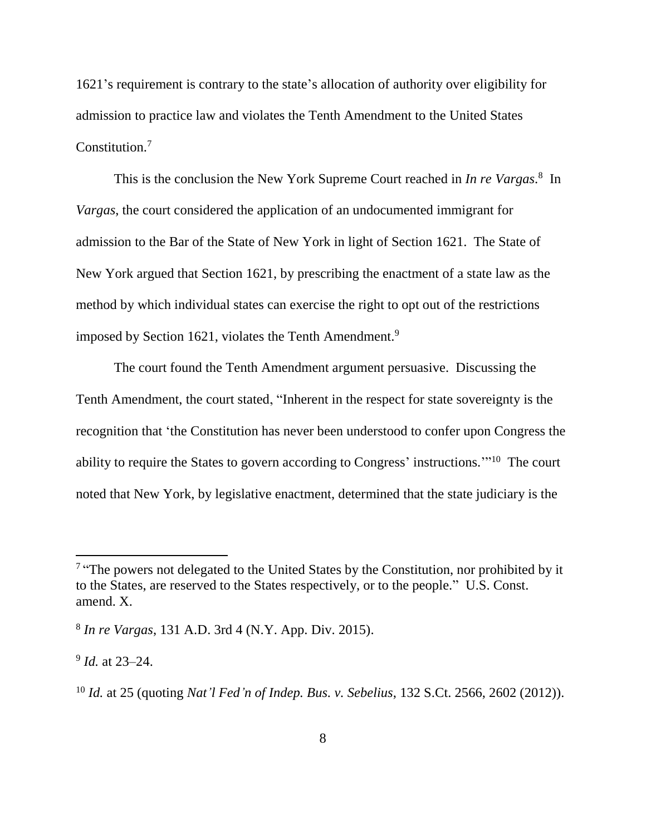1621's requirement is contrary to the state's allocation of authority over eligibility for admission to practice law and violates the Tenth Amendment to the United States Constitution.<sup>7</sup>

This is the conclusion the New York Supreme Court reached in *In re Vargas*. 8 In *Vargas*, the court considered the application of an undocumented immigrant for admission to the Bar of the State of New York in light of Section 1621. The State of New York argued that Section 1621, by prescribing the enactment of a state law as the method by which individual states can exercise the right to opt out of the restrictions imposed by Section 1621, violates the Tenth Amendment.<sup>9</sup>

The court found the Tenth Amendment argument persuasive. Discussing the Tenth Amendment, the court stated, "Inherent in the respect for state sovereignty is the recognition that 'the Constitution has never been understood to confer upon Congress the ability to require the States to govern according to Congress' instructions."<sup>10</sup> The court noted that New York, by legislative enactment, determined that the state judiciary is the

 $\overline{a}$ 

<sup>&</sup>lt;sup>7</sup> "The powers not delegated to the United States by the Constitution, nor prohibited by it to the States, are reserved to the States respectively, or to the people." U.S. Const. amend. X.

<sup>8</sup> *In re Vargas*, 131 A.D. 3rd 4 (N.Y. App. Div. 2015).

<sup>9</sup> *Id.* at 23–24.

<sup>10</sup> *Id.* at 25 (quoting *Nat'l Fed'n of Indep. Bus. v. Sebelius*, 132 S.Ct. 2566, 2602 (2012)).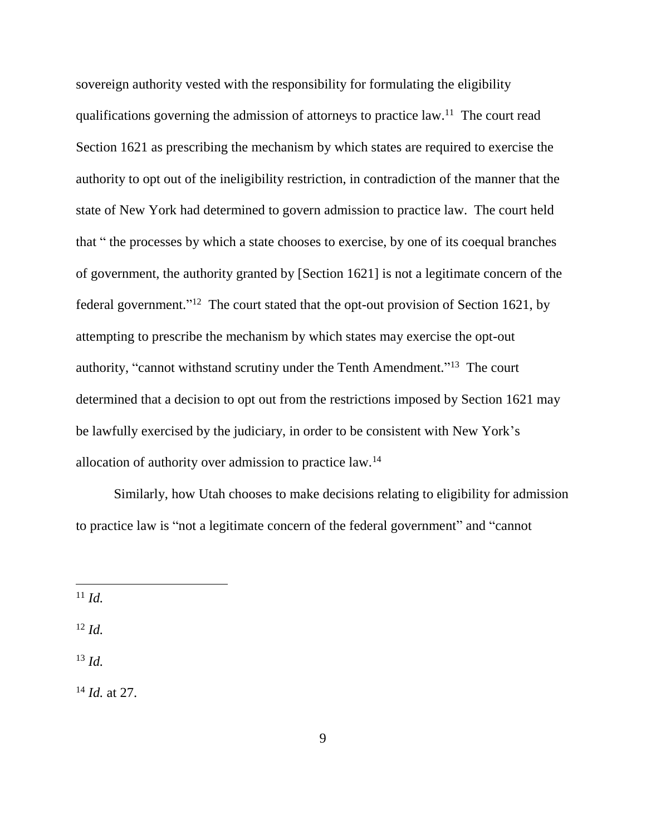sovereign authority vested with the responsibility for formulating the eligibility qualifications governing the admission of attorneys to practice law.<sup>11</sup> The court read Section 1621 as prescribing the mechanism by which states are required to exercise the authority to opt out of the ineligibility restriction, in contradiction of the manner that the state of New York had determined to govern admission to practice law. The court held that " the processes by which a state chooses to exercise, by one of its coequal branches of government, the authority granted by [Section 1621] is not a legitimate concern of the federal government."<sup>12</sup> The court stated that the opt-out provision of Section 1621, by attempting to prescribe the mechanism by which states may exercise the opt-out authority, "cannot withstand scrutiny under the Tenth Amendment."<sup>13</sup> The court determined that a decision to opt out from the restrictions imposed by Section 1621 may be lawfully exercised by the judiciary, in order to be consistent with New York's allocation of authority over admission to practice law.<sup>14</sup>

Similarly, how Utah chooses to make decisions relating to eligibility for admission to practice law is "not a legitimate concern of the federal government" and "cannot

<sup>11</sup> *Id.*

 $\overline{\phantom{a}}$ 

<sup>12</sup> *Id.*

<sup>13</sup> *Id.*

<sup>14</sup> *Id.* at 27.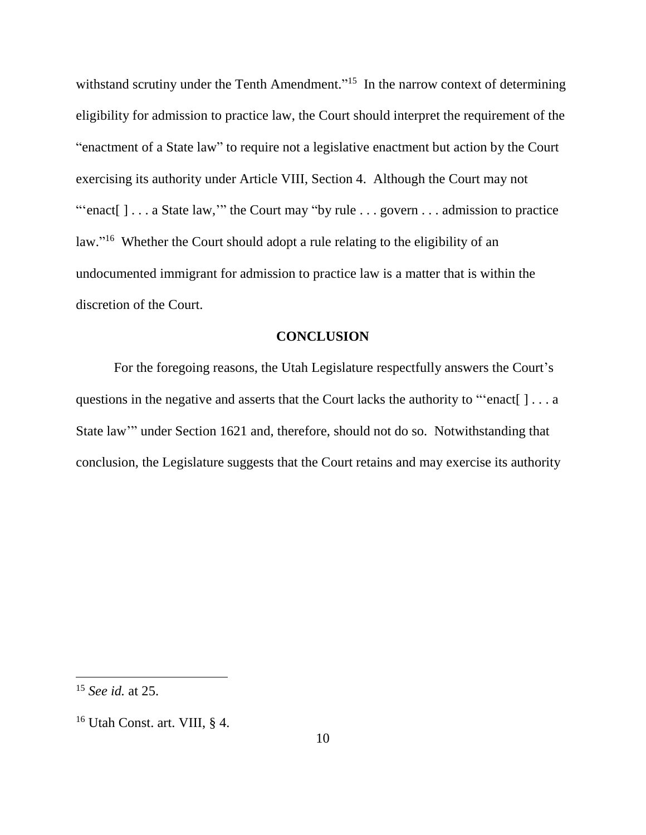withstand scrutiny under the Tenth Amendment."<sup>15</sup> In the narrow context of determining eligibility for admission to practice law, the Court should interpret the requirement of the "enactment of a State law" to require not a legislative enactment but action by the Court exercising its authority under Article VIII, Section 4. Although the Court may not "'enact[ ] . . . a State law,'" the Court may "by rule . . . govern . . . admission to practice law."<sup>16</sup> Whether the Court should adopt a rule relating to the eligibility of an undocumented immigrant for admission to practice law is a matter that is within the discretion of the Court.

#### **CONCLUSION**

<span id="page-14-0"></span>For the foregoing reasons, the Utah Legislature respectfully answers the Court's questions in the negative and asserts that the Court lacks the authority to "'enact[ ] . . . a State law'" under Section 1621 and, therefore, should not do so. Notwithstanding that conclusion, the Legislature suggests that the Court retains and may exercise its authority

<sup>15</sup> *See id.* at 25.

<sup>16</sup> Utah Const. art. VIII, § 4.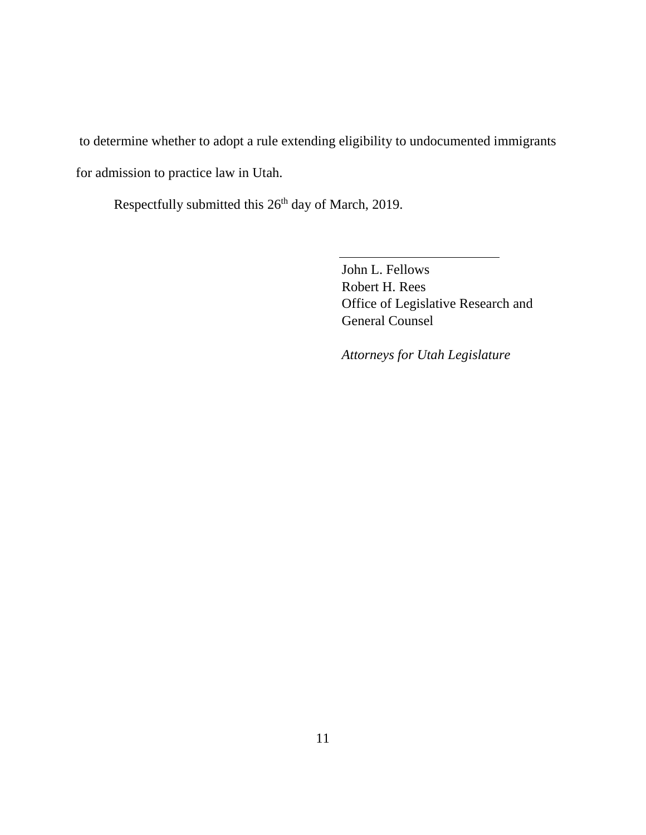to determine whether to adopt a rule extending eligibility to undocumented immigrants for admission to practice law in Utah.

Respectfully submitted this 26<sup>th</sup> day of March, 2019.

John L. Fellows Robert H. Rees Office of Legislative Research and General Counsel

*Attorneys for Utah Legislature*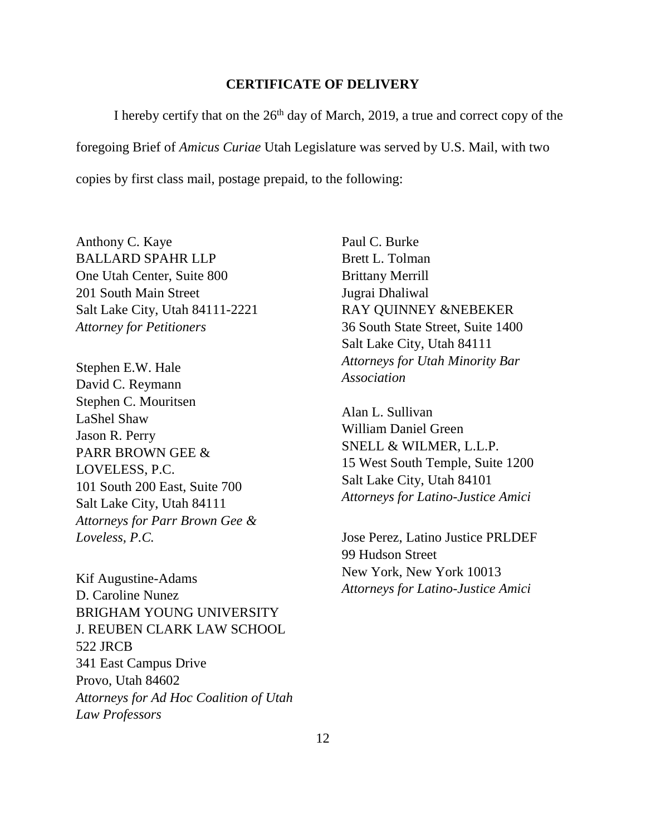#### **CERTIFICATE OF DELIVERY**

I hereby certify that on the  $26<sup>th</sup>$  day of March, 2019, a true and correct copy of the foregoing Brief of *Amicus Curiae* Utah Legislature was served by U.S. Mail, with two copies by first class mail, postage prepaid, to the following:

Anthony C. Kaye BALLARD SPAHR LLP One Utah Center, Suite 800 201 South Main Street Salt Lake City, Utah 84111-2221 *Attorney for Petitioners* 

Stephen E.W. Hale David C. Reymann Stephen C. Mouritsen LaShel Shaw Jason R. Perry PARR BROWN GEE & LOVELESS, P.C. 101 South 200 East, Suite 700 Salt Lake City, Utah 84111 *Attorneys for Parr Brown Gee & Loveless, P.C.*

Kif Augustine-Adams D. Caroline Nunez BRIGHAM YOUNG UNIVERSITY J. REUBEN CLARK LAW SCHOOL 522 JRCB 341 East Campus Drive Provo, Utah 84602 *Attorneys for Ad Hoc Coalition of Utah Law Professors*

Paul C. Burke Brett L. Tolman Brittany Merrill Jugrai Dhaliwal RAY QUINNEY &NEBEKER 36 South State Street, Suite 1400 Salt Lake City, Utah 84111 *Attorneys for Utah Minority Bar Association*

Alan L. Sullivan William Daniel Green SNELL & WILMER, L.L.P. 15 West South Temple, Suite 1200 Salt Lake City, Utah 84101 *Attorneys for Latino-Justice Amici*

Jose Perez, Latino Justice PRLDEF 99 Hudson Street New York, New York 10013 *Attorneys for Latino-Justice Amici*